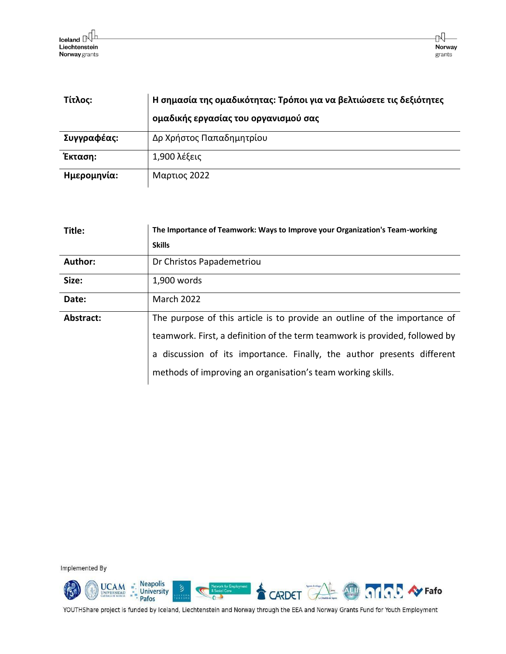| Τίτλος:     | Η σημασία της ομαδικότητας: Τρόποι για να βελτιώσετε τις δεξιότητες<br>ομαδικής εργασίας του οργανισμού σας |
|-------------|-------------------------------------------------------------------------------------------------------------|
| Συγγραφέας: | Δρ Χρήστος Παπαδημητρίου                                                                                    |
| Έκταση:     | 1,900 λέξεις                                                                                                |
| Ημερομηνία: | Μαρτιος 2022                                                                                                |

| Title:         | The Importance of Teamwork: Ways to Improve your Organization's Team-working |
|----------------|------------------------------------------------------------------------------|
|                | <b>Skills</b>                                                                |
| <b>Author:</b> | Dr Christos Papademetriou                                                    |
| Size:          | 1,900 words                                                                  |
| Date:          | <b>March 2022</b>                                                            |
| Abstract:      | The purpose of this article is to provide an outline of the importance of    |
|                | teamwork. First, a definition of the term teamwork is provided, followed by  |
|                | a discussion of its importance. Finally, the author presents different       |
|                | methods of improving an organisation's team working skills.                  |

Implemented By

 $\underbrace{\text{UCAM}}_{\text{UNIVERSIDAD}} \begin{array}{c} \textcolor{red}{\text{\bf{}}}\ \textcolor{red}{\text{\bf{}}}\ \textcolor{red}{\text{\bf{}}}\ \textcolor{red}{\text{\bf{}}}\ \textcolor{red}{\text{\bf{}}}\ \textcolor{red}{\text{\bf{}}}\ \textcolor{red}{\text{\bf{}}}\ \textcolor{red}{\text{\bf{}}}\ \textcolor{red}{\text{\bf{}}}\ \textcolor{red}{\text{\bf{}}}\ \textcolor{red}{\text{\bf{}}}\ \textcolor{red}{\text{\bf{}}}\ \textcolor{red}{\text{\bf{}}}\ \textcolor{red}{\text{\bf{}}}\ \textcolor{red}{\text{\bf{}}}\$ CARDET CALL @ 010 P.S. Ay Fafo  $\overline{0}$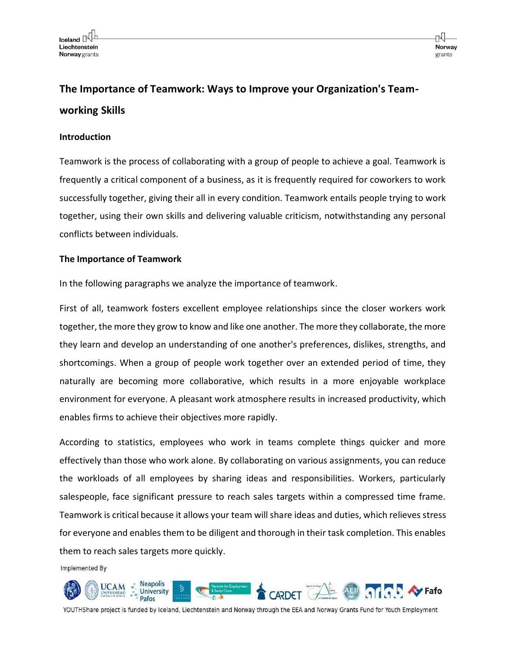# **The Importance of Teamwork: Ways to Improve your Organization's Teamworking Skills**

# **Introduction**

Teamwork is the process of collaborating with a group of people to achieve a goal. Teamwork is frequently a critical component of a business, as it is frequently required for coworkers to work successfully together, giving their all in every condition. Teamwork entails people trying to work together, using their own skills and delivering valuable criticism, notwithstanding any personal conflicts between individuals.

# **The Importance of Teamwork**

In the following paragraphs we analyze the importance of teamwork.

First of all, teamwork fosters excellent employee relationships since the closer workers work together, the more they grow to know and like one another. The more they collaborate, the more they learn and develop an understanding of one another's preferences, dislikes, strengths, and shortcomings. When a group of people work together over an extended period of time, they naturally are becoming more collaborative, which results in a more enjoyable workplace environment for everyone. A pleasant work atmosphere results in increased productivity, which enables firms to achieve their objectives more rapidly.

According to statistics, employees who work in teams complete things quicker and more effectively than those who work alone. By collaborating on various assignments, you can reduce the workloads of all employees by sharing ideas and responsibilities. Workers, particularly salespeople, face significant pressure to reach sales targets within a compressed time frame. Teamwork is critical because it allows your team will share ideas and duties, which relieves stress for everyone and enables them to be diligent and thorough in their task completion. This enables them to reach sales targets more quickly.

Implemented By

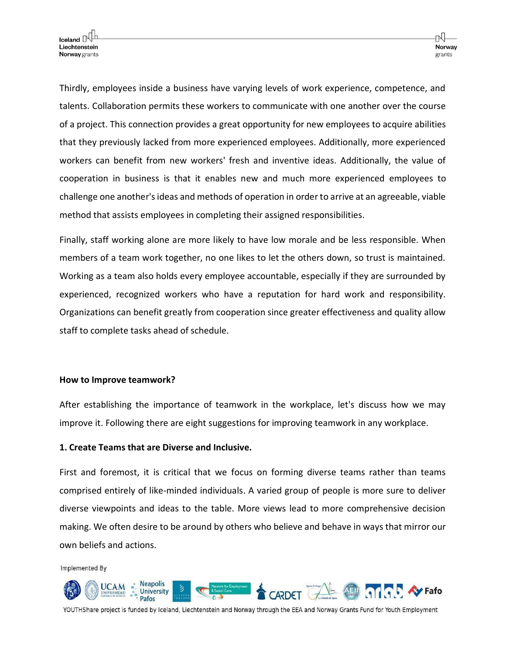Thirdly, employees inside a business have varying levels of work experience, competence, and talents. Collaboration permits these workers to communicate with one another over the course of a project. This connection provides a great opportunity for new employees to acquire abilities that they previously lacked from more experienced employees. Additionally, more experienced workers can benefit from new workers' fresh and inventive ideas. Additionally, the value of cooperation in business is that it enables new and much more experienced employees to challenge one another's ideas and methods of operation in order to arrive at an agreeable, viable method that assists employees in completing their assigned responsibilities.

Finally, staff working alone are more likely to have low morale and be less responsible. When members of a team work together, no one likes to let the others down, so trust is maintained. Working as a team also holds every employee accountable, especially if they are surrounded by experienced, recognized workers who have a reputation for hard work and responsibility. Organizations can benefit greatly from cooperation since greater effectiveness and quality allow staff to complete tasks ahead of schedule.

#### **How to Improve teamwork?**

After establishing the importance of teamwork in the workplace, let's discuss how we may improve it. Following there are eight suggestions for improving teamwork in any workplace.

## **1. Create Teams that are Diverse and Inclusive.**

First and foremost, it is critical that we focus on forming diverse teams rather than teams comprised entirely of like-minded individuals. A varied group of people is more sure to deliver diverse viewpoints and ideas to the table. More views lead to more comprehensive decision making. We often desire to be around by others who believe and behave in ways that mirror our own beliefs and actions.

Implemented By

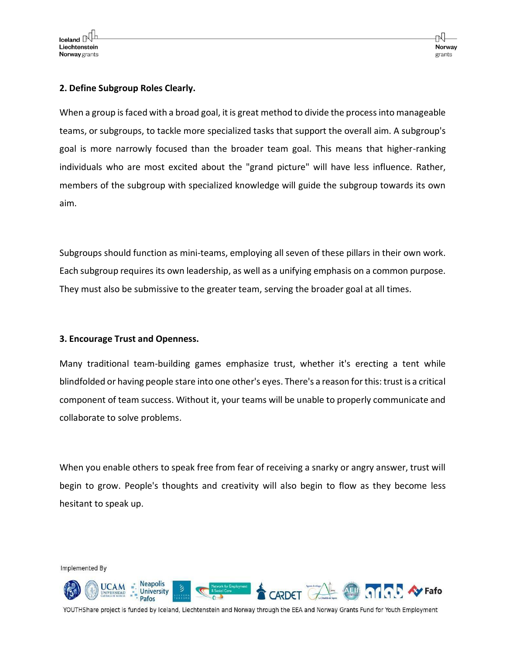## **2. Define Subgroup Roles Clearly.**

When a group is faced with a broad goal, it is great method to divide the process into manageable teams, or subgroups, to tackle more specialized tasks that support the overall aim. A subgroup's goal is more narrowly focused than the broader team goal. This means that higher-ranking individuals who are most excited about the "grand picture" will have less influence. Rather, members of the subgroup with specialized knowledge will guide the subgroup towards its own aim.

Subgroups should function as mini-teams, employing all seven of these pillars in their own work. Each subgroup requires its own leadership, as well as a unifying emphasis on a common purpose. They must also be submissive to the greater team, serving the broader goal at all times.

## **3. Encourage Trust and Openness.**

Many traditional team-building games emphasize trust, whether it's erecting a tent while blindfolded or having people stare into one other's eyes. There's a reason for this: trust is a critical component of team success. Without it, your teams will be unable to properly communicate and collaborate to solve problems.

When you enable others to speak free from fear of receiving a snarky or angry answer, trust will begin to grow. People's thoughts and creativity will also begin to flow as they become less hesitant to speak up.

Implemented By **Neapolis** UCAM **OF SIL AV Fafo University** Pafos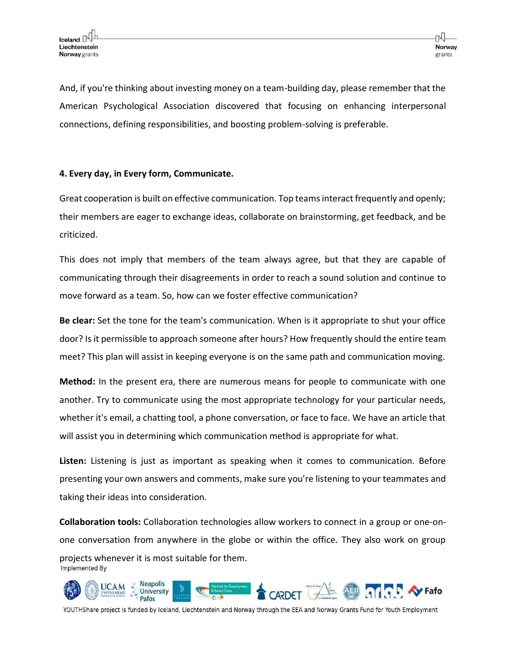And, if you're thinking about investing money on a team-building day, please remember that the American Psychological Association discovered that focusing on enhancing interpersonal connections, defining responsibilities, and boosting problem-solving is preferable.

## **4. Every day, in Every form, Communicate.**

Great cooperation is built on effective communication. Top teams interact frequently and openly; their members are eager to exchange ideas, collaborate on brainstorming, get feedback, and be criticized.

This does not imply that members of the team always agree, but that they are capable of communicating through their disagreements in order to reach a sound solution and continue to move forward as a team. So, how can we foster effective communication?

**Be clear:** Set the tone for the team's communication. When is it appropriate to shut your office door? Is it permissible to approach someone after hours? How frequently should the entire team meet? This plan will assist in keeping everyone is on the same path and communication moving.

**Method:** In the present era, there are numerous means for people to communicate with one another. Try to communicate using the most appropriate technology for your particular needs, whether it's email, a chatting tool, a phone conversation, or face to face. We have an article that will assist you in determining which communication method is appropriate for what.

**Listen:** Listening is just as important as speaking when it comes to communication. Before presenting your own answers and comments, make sure you're listening to your teammates and taking their ideas into consideration.

**Collaboration tools:** Collaboration technologies allow workers to connect in a group or one-onone conversation from anywhere in the globe or within the office. They also work on group projects whenever it is most suitable for them.Implemented By

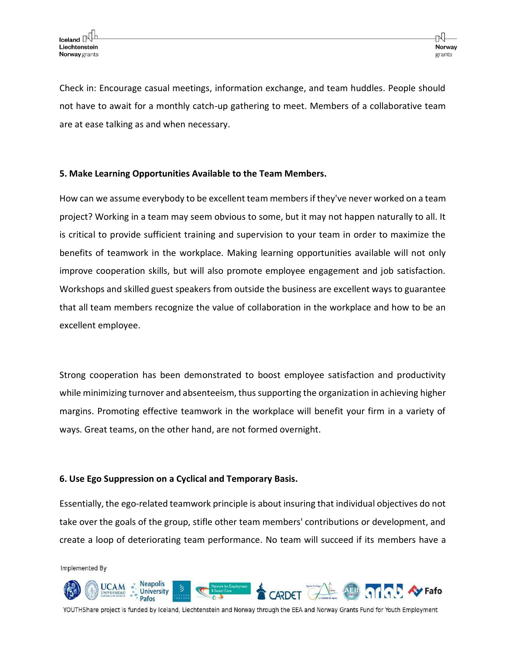Check in: Encourage casual meetings, information exchange, and team huddles. People should not have to await for a monthly catch-up gathering to meet. Members of a collaborative team are at ease talking as and when necessary.

## **5. Make Learning Opportunities Available to the Team Members.**

How can we assume everybody to be excellent team members if they've never worked on a team project? Working in a team may seem obvious to some, but it may not happen naturally to all. It is critical to provide sufficient training and supervision to your team in order to maximize the benefits of teamwork in the workplace. Making learning opportunities available will not only improve cooperation skills, but will also promote employee engagement and job satisfaction. Workshops and skilled guest speakers from outside the business are excellent ways to guarantee that all team members recognize the value of collaboration in the workplace and how to be an excellent employee.

Strong cooperation has been demonstrated to boost employee satisfaction and productivity while minimizing turnover and absenteeism, thus supporting the organization in achieving higher margins. Promoting effective teamwork in the workplace will benefit your firm in a variety of ways. Great teams, on the other hand, are not formed overnight.

## **6. Use Ego Suppression on a Cyclical and Temporary Basis.**

Essentially, the ego-related teamwork principle is about insuring that individual objectives do not take over the goals of the group, stifle other team members' contributions or development, and create a loop of deteriorating team performance. No team will succeed if its members have a

Implemented By

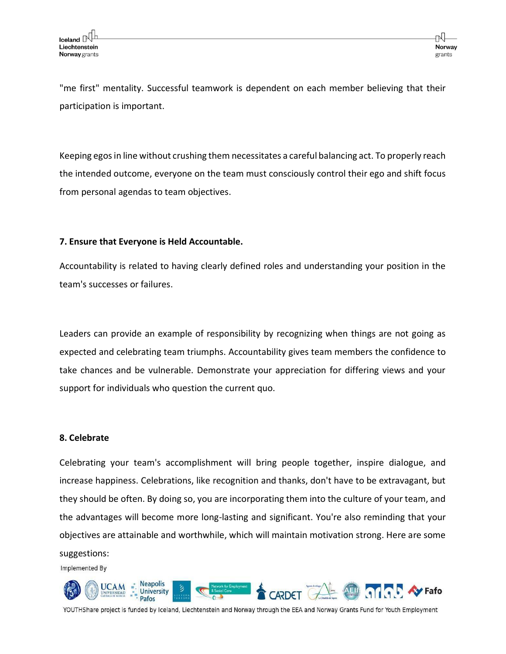"me first" mentality. Successful teamwork is dependent on each member believing that their participation is important.

Keeping egos in line without crushing them necessitates a careful balancing act. To properly reach the intended outcome, everyone on the team must consciously control their ego and shift focus from personal agendas to team objectives.

# **7. Ensure that Everyone is Held Accountable.**

Accountability is related to having clearly defined roles and understanding your position in the team's successes or failures.

Leaders can provide an example of responsibility by recognizing when things are not going as expected and celebrating team triumphs. Accountability gives team members the confidence to take chances and be vulnerable. Demonstrate your appreciation for differing views and your support for individuals who question the current quo.

## **8. Celebrate**

Celebrating your team's accomplishment will bring people together, inspire dialogue, and increase happiness. Celebrations, like recognition and thanks, don't have to be extravagant, but they should be often. By doing so, you are incorporating them into the culture of your team, and the advantages will become more long-lasting and significant. You're also reminding that your objectives are attainable and worthwhile, which will maintain motivation strong. Here are some suggestions:

Implemented By